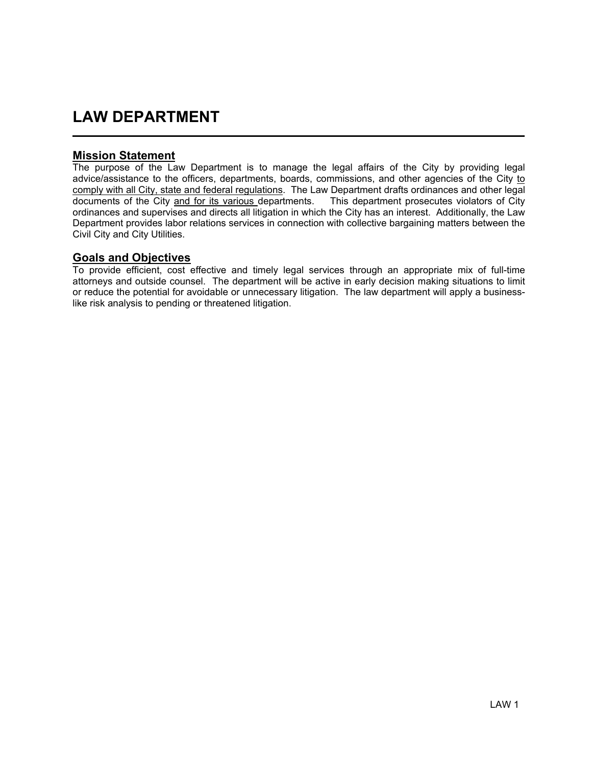# LAW DEPARTMENT

### Mission Statement

i<br>L

The purpose of the Law Department is to manage the legal affairs of the City by providing legal advice/assistance to the officers, departments, boards, commissions, and other agencies of the City to comply with all City, state and federal regulations. The Law Department drafts ordinances and other legal documents of the City and for its various departments. This department prosecutes violators of City ordinances and supervises and directs all litigation in which the City has an interest. Additionally, the Law Department provides labor relations services in connection with collective bargaining matters between the Civil City and City Utilities.

#### Goals and Objectives

To provide efficient, cost effective and timely legal services through an appropriate mix of full-time attorneys and outside counsel. The department will be active in early decision making situations to limit or reduce the potential for avoidable or unnecessary litigation. The law department will apply a businesslike risk analysis to pending or threatened litigation.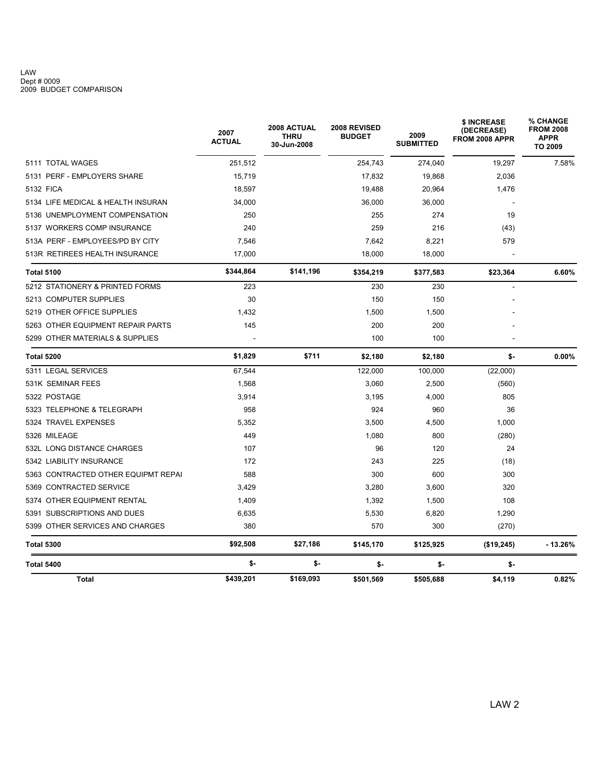#### LAW Dept # 0009 2009 BUDGET COMPARISON

|                                     | 2007<br><b>ACTUAL</b> | 2008 ACTUAL<br><b>THRU</b><br>30-Jun-2008 | 2008 REVISED<br><b>BUDGET</b> | 2009<br><b>SUBMITTED</b> | \$ INCREASE<br>(DECREASE)<br>FROM 2008 APPR | % CHANGE<br><b>FROM 2008</b><br><b>APPR</b><br><b>TO 2009</b> |
|-------------------------------------|-----------------------|-------------------------------------------|-------------------------------|--------------------------|---------------------------------------------|---------------------------------------------------------------|
| 5111 TOTAL WAGES                    | 251,512               |                                           | 254,743                       | 274,040                  | 19,297                                      | 7.58%                                                         |
| 5131 PERF - EMPLOYERS SHARE         | 15,719                |                                           | 17,832                        | 19,868                   | 2,036                                       |                                                               |
| 5132 FICA                           | 18,597                |                                           | 19,488                        | 20,964                   | 1,476                                       |                                                               |
| 5134 LIFE MEDICAL & HEALTH INSURAN  | 34,000                |                                           | 36,000                        | 36,000                   |                                             |                                                               |
| 5136 UNEMPLOYMENT COMPENSATION      | 250                   |                                           | 255                           | 274                      | 19                                          |                                                               |
| 5137 WORKERS COMP INSURANCE         | 240                   |                                           | 259                           | 216                      | (43)                                        |                                                               |
| 513A PERF - EMPLOYEES/PD BY CITY    | 7.546                 |                                           | 7,642                         | 8,221                    | 579                                         |                                                               |
| 513R RETIREES HEALTH INSURANCE      | 17,000                |                                           | 18,000                        | 18,000                   |                                             |                                                               |
| <b>Total 5100</b>                   | \$344,864             | \$141,196                                 | \$354,219                     | \$377,583                | \$23,364                                    | 6.60%                                                         |
| 5212 STATIONERY & PRINTED FORMS     | 223                   |                                           | 230                           | 230                      |                                             |                                                               |
| 5213 COMPUTER SUPPLIES              | 30                    |                                           | 150                           | 150                      |                                             |                                                               |
| 5219 OTHER OFFICE SUPPLIES          | 1,432                 |                                           | 1,500                         | 1,500                    |                                             |                                                               |
| 5263 OTHER EQUIPMENT REPAIR PARTS   | 145                   |                                           | 200                           | 200                      |                                             |                                                               |
| 5299 OTHER MATERIALS & SUPPLIES     |                       |                                           | 100                           | 100                      |                                             |                                                               |
| <b>Total 5200</b>                   | \$1,829               | \$711                                     | \$2,180                       | \$2,180                  | \$-                                         | 0.00%                                                         |
| 5311 LEGAL SERVICES                 | 67,544                |                                           | 122,000                       | 100,000                  | (22,000)                                    |                                                               |
| 531K SEMINAR FEES                   | 1,568                 |                                           | 3,060                         | 2,500                    | (560)                                       |                                                               |
| 5322 POSTAGE                        | 3,914                 |                                           | 3,195                         | 4,000                    | 805                                         |                                                               |
| 5323 TELEPHONE & TELEGRAPH          | 958                   |                                           | 924                           | 960                      | 36                                          |                                                               |
| 5324 TRAVEL EXPENSES                | 5.352                 |                                           | 3,500                         | 4,500                    | 1,000                                       |                                                               |
| 5326 MILEAGE                        | 449                   |                                           | 1,080                         | 800                      | (280)                                       |                                                               |
| 532L LONG DISTANCE CHARGES          | 107                   |                                           | 96                            | 120                      | 24                                          |                                                               |
| 5342 LIABILITY INSURANCE            | 172                   |                                           | 243                           | 225                      | (18)                                        |                                                               |
| 5363 CONTRACTED OTHER EQUIPMT REPAI | 588                   |                                           | 300                           | 600                      | 300                                         |                                                               |
| 5369 CONTRACTED SERVICE             | 3,429                 |                                           | 3,280                         | 3,600                    | 320                                         |                                                               |
| 5374 OTHER EQUIPMENT RENTAL         | 1,409                 |                                           | 1,392                         | 1,500                    | 108                                         |                                                               |
| 5391 SUBSCRIPTIONS AND DUES         | 6,635                 |                                           | 5,530                         | 6,820                    | 1,290                                       |                                                               |
| 5399 OTHER SERVICES AND CHARGES     | 380                   |                                           | 570                           | 300                      | (270)                                       |                                                               |
| <b>Total 5300</b>                   | \$92,508              | \$27,186                                  | \$145,170                     | \$125,925                | (\$19,245)                                  | $-13.26%$                                                     |
| <b>Total 5400</b>                   | \$-                   | \$-                                       | \$-                           | \$-                      | \$-                                         |                                                               |
| <b>Total</b>                        | \$439,201             | \$169,093                                 | \$501,569                     | \$505,688                | \$4,119                                     | 0.82%                                                         |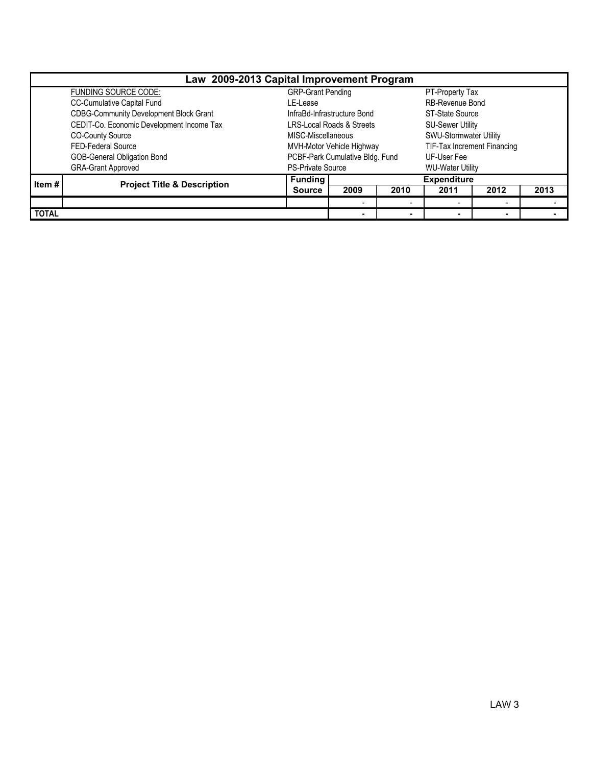| Law 2009-2013 Capital Improvement Program |                                           |                                      |                          |                         |                             |                          |      |  |  |  |
|-------------------------------------------|-------------------------------------------|--------------------------------------|--------------------------|-------------------------|-----------------------------|--------------------------|------|--|--|--|
|                                           | FUNDING SOURCE CODE:                      | <b>GRP-Grant Pending</b>             |                          |                         | PT-Property Tax             |                          |      |  |  |  |
|                                           | CC-Cumulative Capital Fund                | LE-Lease                             |                          |                         | RB-Revenue Bond             |                          |      |  |  |  |
|                                           | CDBG-Community Development Block Grant    | InfraBd-Infrastructure Bond          |                          |                         | <b>ST-State Source</b>      |                          |      |  |  |  |
|                                           | CEDIT-Co. Economic Development Income Tax | <b>LRS-Local Roads &amp; Streets</b> |                          |                         | <b>SU-Sewer Utility</b>     |                          |      |  |  |  |
|                                           | <b>CO-County Source</b>                   | MISC-Miscellaneous                   |                          |                         | SWU-Stormwater Utility      |                          |      |  |  |  |
|                                           | FED-Federal Source                        | MVH-Motor Vehicle Highway            |                          |                         | TIF-Tax Increment Financing |                          |      |  |  |  |
|                                           | GOB-General Obligation Bond               | PCBF-Park Cumulative Bldg. Fund      |                          |                         | UF-User Fee                 |                          |      |  |  |  |
|                                           | <b>GRA-Grant Approved</b>                 | <b>PS-Private Source</b>             |                          | <b>WU-Water Utility</b> |                             |                          |      |  |  |  |
| Item #                                    | <b>Project Title &amp; Description</b>    | <b>Funding</b>                       |                          |                         | <b>Expenditure</b>          |                          |      |  |  |  |
|                                           |                                           | <b>Source</b>                        | 2009                     | 2010                    | 2011                        | 2012                     | 2013 |  |  |  |
|                                           |                                           |                                      | $\overline{\phantom{a}}$ |                         |                             | $\overline{\phantom{0}}$ |      |  |  |  |
| <b>TOTAL</b>                              |                                           |                                      | $\blacksquare$           |                         |                             | $\blacksquare$           |      |  |  |  |